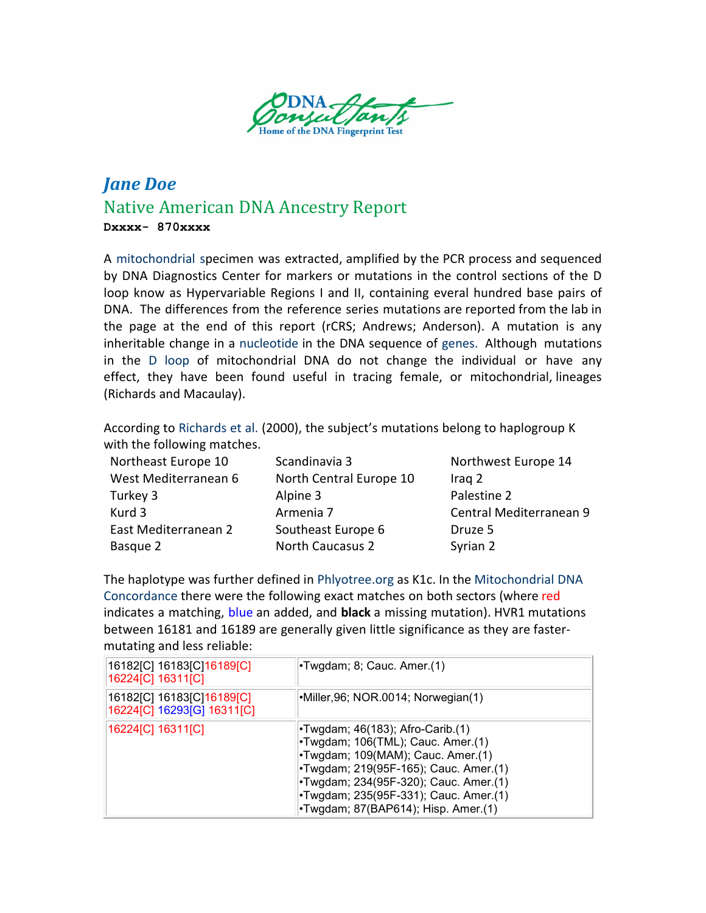

## *Jane Doe* Native American DNA Ancestry Report **Dxxxx- 870xxxx**

A [mitochondrial](https://en.wikipedia.org/wiki/Mitochondrial_DNA) specimen was extracted, amplified by the PCR process and sequenced by DNA Diagnostics Center for markers or mutations in the control sections of the D loop know as Hypervariable Regions I and II, containing everal hundred base pairs of [DNA.](https://www.genome.gov/glossary/index.cfm?id=70&textonly=true) The differences from the reference series mutations are reported from the lab in the page at the end of this report (rCRS; Andrews; Anderson). A mutation is any inheritable change in [a nucleotide](http://dnaconsultants.com/dna-glossary) in the DNA sequence of genes. Although mutations in the D [loop](http://dnaconsultants.com/dna-glossary) of mitochondrial DNA do not change the individual or have any effect, they have been found useful in tracing female, or mitochondrial, lineages (Richards and Macaulay).

According to [Richards](http://www.stats.gla.ac.uk/%7Evincent/founder2000/index.html) et al. (2000), the subject's mutations belong to haplogroup K with the following matches.

| Northeast Europe 10  | Scandinavia 3           | Northwest Europe 14     |
|----------------------|-------------------------|-------------------------|
| West Mediterranean 6 | North Central Europe 10 | Iraq 2                  |
| Turkey 3             | Alpine 3                | Palestine 2             |
| Kurd 3               | Armenia 7               | Central Mediterranean 9 |
| East Mediterranean 2 | Southeast Europe 6      | Druze 5                 |
| Basque 2             | <b>North Caucasus 2</b> | Syrian 2                |
|                      |                         |                         |

The haplotype was further defined i[n Phlyotree.org](http://www.phylotree.org/) as K1c. In the Mitochondrial DNA Concordance [there were the following exact matches on both sectors \(where red](http://www2.bioanth.cam.ac.uk/mtDNA/toc.html) indicates a matching, blue an added, and **black** a missing mutation). HVR1 mutations between 16181 and 16189 are generally given little significance as they are fastermutating and less reliable:

| 16182[C] 16183[C] 16189[C]<br>16224[C] 16311[C]         | •Twgdam; 8; Cauc. Amer.(1)                                                                                                                                                                                                                                                          |  |
|---------------------------------------------------------|-------------------------------------------------------------------------------------------------------------------------------------------------------------------------------------------------------------------------------------------------------------------------------------|--|
| 16182[C] 16183[C]16189[C]<br>16224[C] 16293[G] 16311[C] | •Miller, 96; NOR. 0014; Norwegian(1)                                                                                                                                                                                                                                                |  |
| 16224[C] 16311[C]                                       | $\cdot$ Twgdam; 46(183); Afro-Carib.(1)<br>•Twgdam; 106(TML); Cauc. Amer.(1)<br>•Twgdam; 109(MAM); Cauc. Amer.(1)<br>•Twgdam; 219(95F-165); Cauc. Amer.(1)<br>•Twgdam; 234(95F-320); Cauc. Amer.(1)<br>•Twgdam; 235(95F-331); Cauc. Amer.(1)<br>•Twgdam; 87(BAP614); Hisp. Amer.(1) |  |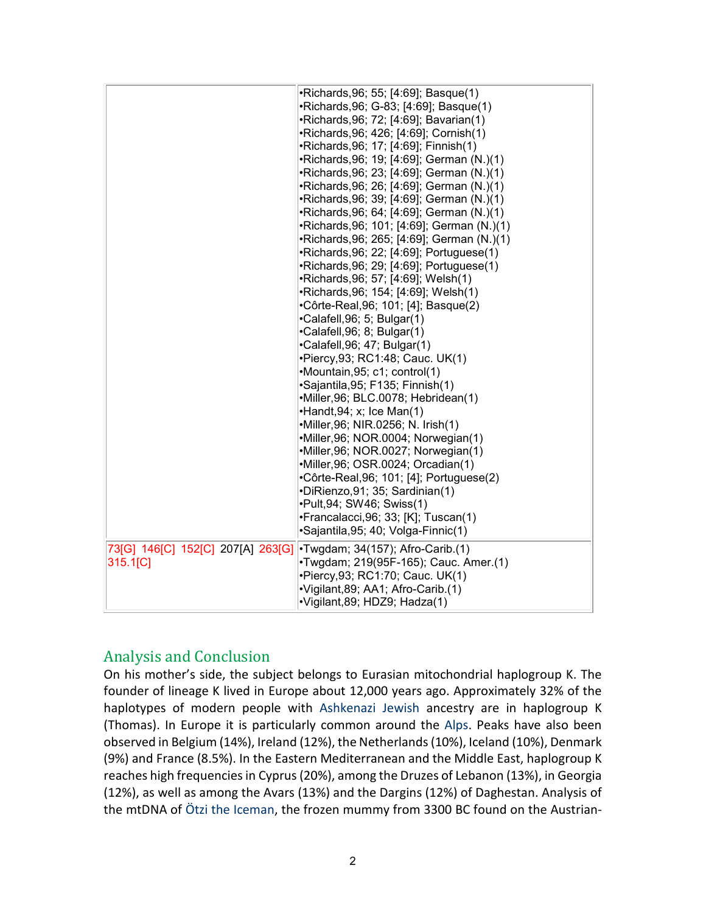|                                   | •Richards, 96; 55; [4:69]; Basque(1)       |  |  |
|-----------------------------------|--------------------------------------------|--|--|
|                                   | •Richards, 96; G-83; [4:69]; Basque(1)     |  |  |
|                                   | •Richards, 96; 72; [4:69]; Bavarian(1)     |  |  |
|                                   | •Richards, 96; 426; [4:69]; Cornish(1)     |  |  |
|                                   | ·Richards, 96; 17; [4:69]; Finnish(1)      |  |  |
|                                   | •Richards, 96; 19; [4:69]; German (N.)(1)  |  |  |
|                                   | •Richards, 96; 23; [4:69]; German (N.)(1)  |  |  |
|                                   | •Richards, 96; 26; [4:69]; German (N.)(1)  |  |  |
|                                   | •Richards, 96; 39; [4:69]; German (N.)(1)  |  |  |
|                                   | •Richards, 96; 64; [4:69]; German (N.)(1)  |  |  |
|                                   | •Richards, 96; 101; [4:69]; German (N.)(1) |  |  |
|                                   | •Richards, 96; 265; [4:69]; German (N.)(1) |  |  |
|                                   | •Richards, 96; 22; [4:69]; Portuguese(1)   |  |  |
|                                   | •Richards, 96; 29; [4:69]; Portuguese(1)   |  |  |
|                                   | •Richards, 96; 57; [4:69]; Welsh(1)        |  |  |
|                                   | •Richards, 96; 154; [4:69]; Welsh(1)       |  |  |
|                                   | •Côrte-Real, 96; 101; [4]; Basque(2)       |  |  |
|                                   | •Calafell, 96; 5; Bulgar(1)                |  |  |
|                                   | •Calafell, 96; 8; Bulgar(1)                |  |  |
|                                   | •Calafell, 96; 47; Bulgar(1)               |  |  |
|                                   | •Piercy, 93; RC1: 48; Cauc. UK(1)          |  |  |
|                                   | •Mountain, 95; c1; control(1)              |  |  |
|                                   | ·Sajantila, 95; F135; Finnish(1)           |  |  |
|                                   | ·Miller, 96; BLC.0078; Hebridean(1)        |  |  |
|                                   | •Handt, 94; x; Ice Man(1)                  |  |  |
|                                   | •Miller, 96; NIR. 0256; N. Irish(1)        |  |  |
|                                   | •Miller, 96; NOR.0004; Norwegian(1)        |  |  |
|                                   | •Miller, 96; NOR.0027; Norwegian(1)        |  |  |
|                                   | •Miller, 96; OSR. 0024; Orcadian(1)        |  |  |
|                                   | •Côrte-Real, 96; 101; [4]; Portuguese(2)   |  |  |
|                                   | •DiRienzo, 91; 35; Sardinian(1)            |  |  |
|                                   | •Pult, 94; SW46; Swiss(1)                  |  |  |
|                                   | •Francalacci, 96; 33; [K]; Tuscan(1)       |  |  |
|                                   | ·Sajantila, 95; 40; Volga-Finnic(1)        |  |  |
| 73[G] 146[C] 152[C] 207[A] 263[G] | •Twgdam; 34(157); Afro-Carib.(1)           |  |  |
| 315.1[C]                          | •Twgdam; 219(95F-165); Cauc. Amer.(1)      |  |  |
|                                   | •Piercy, 93; RC1: 70; Cauc. UK(1)          |  |  |
|                                   | ·Vigilant, 89; AA1; Afro-Carib.(1)         |  |  |
|                                   | ·Vigilant, 89; HDZ9; Hadza(1)              |  |  |

## Analysis and Conclusion

On his mother's side, the subject belongs to Eurasian mitochondrial haplogroup K. The founder of lineage K lived in Europe about 12,000 years ago. Approximately 32% of the haplotypes of modern people with [Ashkenazi Jewish](http://en.wikipedia.org/wiki/Ashkenazi_Jews) ancestry are in haplogroup K (Thomas). In Europe it is particularly common around the [Alps.](http://en.wikipedia.org/wiki/Alps) Peaks have also been observed in Belgium (14%), Ireland (12%), the Netherlands (10%), Iceland (10%), Denmark (9%) and France (8.5%). In the Eastern Mediterranean and the Middle East, haplogroup K reaches high frequencies in Cyprus (20%), among the Druzes of Lebanon (13%), in Georgia (12%), as well as among the Avars (13%) and the Dargins (12%) of Daghestan. Analysis of the mtDNA of [Ötzi the Iceman,](http://en.wikipedia.org/wiki/%C3%96tzi_the_Iceman) the frozen mummy from 3300 BC found on the Austrian-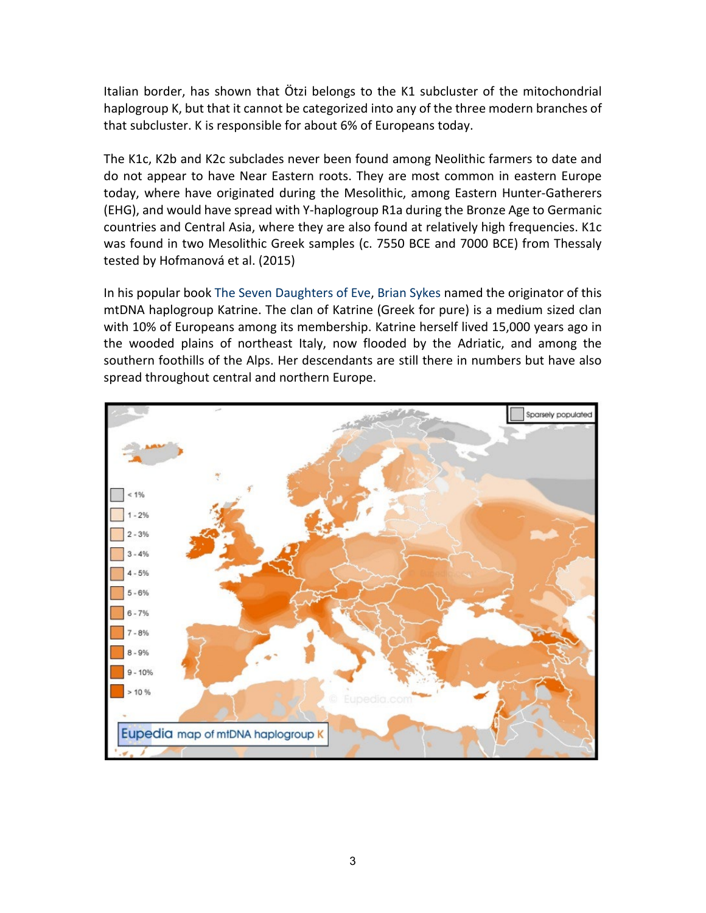Italian border, has shown that Ötzi belongs to the K1 subcluster of the mitochondrial haplogroup K, but that it cannot be categorized into any of the three modern branches of that subcluster. K is responsible for about 6% of Europeans today.

The K1c, K2b and K2c subclades never been found among Neolithic farmers to date and do not appear to have Near Eastern roots. They are most common in eastern Europe today, where have originated during the Mesolithic, among Eastern Hunter-Gatherers (EHG), and would have spread with Y-haplogroup R1a during the Bronze Age to Germanic countries and Central Asia, where they are also found at relatively high frequencies. K1c was found in two Mesolithic Greek samples (c. 7550 BCE and 7000 BCE) from Thessaly tested by Hofmanová et al. (2015)

In his popular book [The Seven Daughters of Eve,](http://en.wikipedia.org/wiki/The_Seven_Daughters_of_Eve) [Brian Sykes](http://en.wikipedia.org/wiki/Bryan_Sykes) named the originator of this mtDNA haplogroup Katrine. The clan of Katrine (Greek for pure) is a medium sized clan with 10% of Europeans among its membership. Katrine herself lived 15,000 years ago in the wooded plains of northeast Italy, now flooded by the Adriatic, and among the southern foothills of the Alps. Her descendants are still there in numbers but have also spread throughout central and northern Europe.

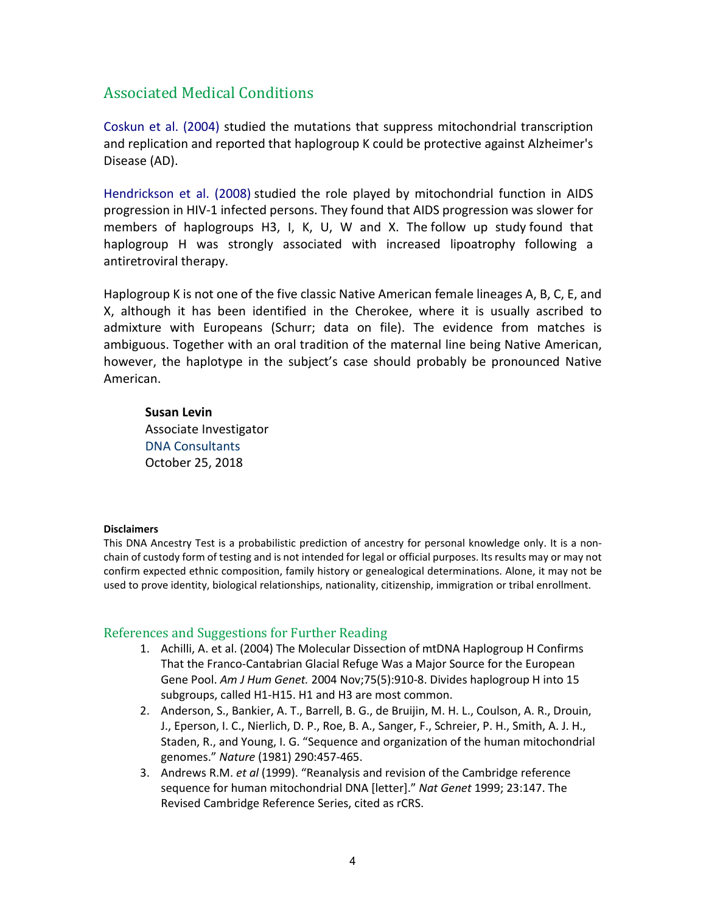## Associated Medical Conditions

Coskun et al. (2004) studied the mutations that suppress mitochondrial transcription and replication and reported that haplogroup K could be protective against Alzheimer's Disease (AD).

[Hendrickson et al. \(2008\)](http://www.ncbi.nlm.nih.gov/pmc/articles/PMC2699618/) studied the role played by mitochondrial function in AIDS progression in HIV-1 infected persons. They found that AIDS progression was slower for members of haplogroups H3, I, K, U, W and X. The [follow up study](http://www.ncbi.nlm.nih.gov/pubmed/19339895?dopt=Abstract) found that haplogroup H was strongly associated with increased lipoatrophy following a antiretroviral therapy.

Haplogroup K is not one of the five classic Native American female lineages A, B, C, E, and X, although it has been identified in the Cherokee, where it is usually ascribed to admixture with Europeans (Schurr; data on file). The evidence from matches is ambiguous. Together with an oral tradition of the maternal line being Native American, however, the haplotype in the subject's case should probably be pronounced Native American.

#### **Susan Levin**

Associate Investigator [DNA Consultants](http://dnaconsultants.com/) October 25, 2018

#### **Disclaimers**

This DNA Ancestry Test is a probabilistic prediction of ancestry for personal knowledge only. It is a nonchain of custody form of testing and is not intended for legal or official purposes. Its results may or may not confirm expected ethnic composition, family history or genealogical determinations. Alone, it may not be used to prove identity, biological relationships, nationality, citizenship, immigration or tribal enrollment.

#### References and Suggestions for Further Reading

- 1. Achilli, A. et al. (2004) The Molecular Dissection of mtDNA Haplogroup H Confirms That the Franco-Cantabrian Glacial Refuge Was a Major Source for the European Gene Pool. *Am J Hum Genet.* 2004 Nov;75(5):910-8. Divides haplogroup H into 15 subgroups, called H1-H15. H1 and H3 are most common.
- 2. Anderson, S., Bankier, A. T., Barrell, B. G., de Bruijin, M. H. L., Coulson, A. R., Drouin, J., Eperson, I. C., Nierlich, D. P., Roe, B. A., Sanger, F., Schreier, P. H., Smith, A. J. H., Staden, R., and Young, I. G. "Sequence and organization of the human mitochondrial genomes." *Nature* (1981) 290:457-465.
- 3. Andrews R.M. *et al* (1999). "Reanalysis and revision of the Cambridge reference sequence for human mitochondrial DNA [letter]." *Nat Genet* 1999; 23:147. The Revised Cambridge Reference Series, cited as rCRS.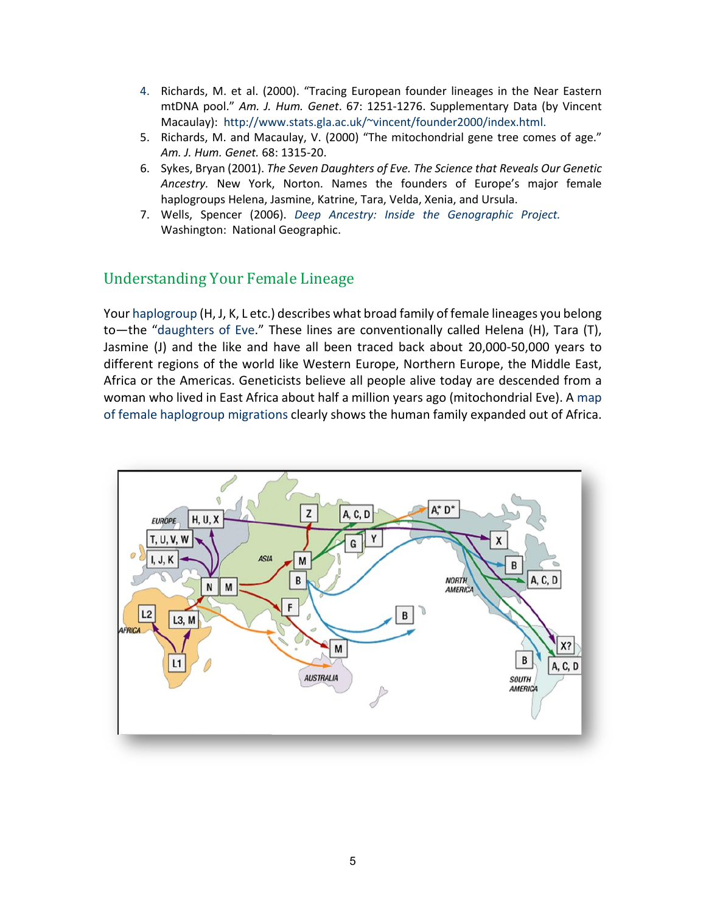- 4. Richards, M. et al. (2000). "Tracing European founder lineages in the Near Eastern mtDNA pool." *Am. J. Hum. Genet*. 67: 1251-1276. Supplementary Data (by Vincent Macaulay): [http://www.stats.gla.ac.uk/~vincent/founder2000/index.html.](http://www.stats.gla.ac.uk/%7Evincent/founder2000/index.html)
- 5. Richards, M. and Macaulay, V. (2000) "The mitochondrial gene tree comes of age." *Am. J. Hum. Genet.* 68: 1315-20.
- 6. Sykes, Bryan (2001). *The Seven Daughters of Eve. The Science that Reveals Our Genetic Ancestry.* New York, Norton. Names the founders of Europe's major female haplogroups Helena, Jasmine, Katrine, Tara, Velda, Xenia, and Ursula.
- 7. Wells, Spencer (2006). *Deep Ancestry: Inside [the Genographic Project.](http://books.google.com/books?id=TSl9AAAACAAJ&dq=deep+ancestry)* Washington: National Geographic.

## Understanding Your Female Lineage

Your [haplogroup](http://dnaconsultants.com/dna-glossary) (H, J, K, L etc.) describes what broad family of female lineages you belong to—the ["daughters of Eve.](https://en.wikipedia.org/wiki/The_Seven_Daughters_of_Eve)" These lines are conventionally called Helena (H), Tara (T), Jasmine (J) and the like and have all been traced back about 20,000-50,000 years to different regions of the world like Western Europe, Northern Europe, the Middle East, Africa or the Americas. Geneticists believe all people alive today are descended from a woman who lived in East Africa about half a million years ago (mitochondrial Eve). A [map](http://www.mitosearch.org/migration_map_new.pdf)  [of female haplogroup migrations](http://www.mitosearch.org/migration_map_new.pdf) clearly shows the human family expanded out of Africa.

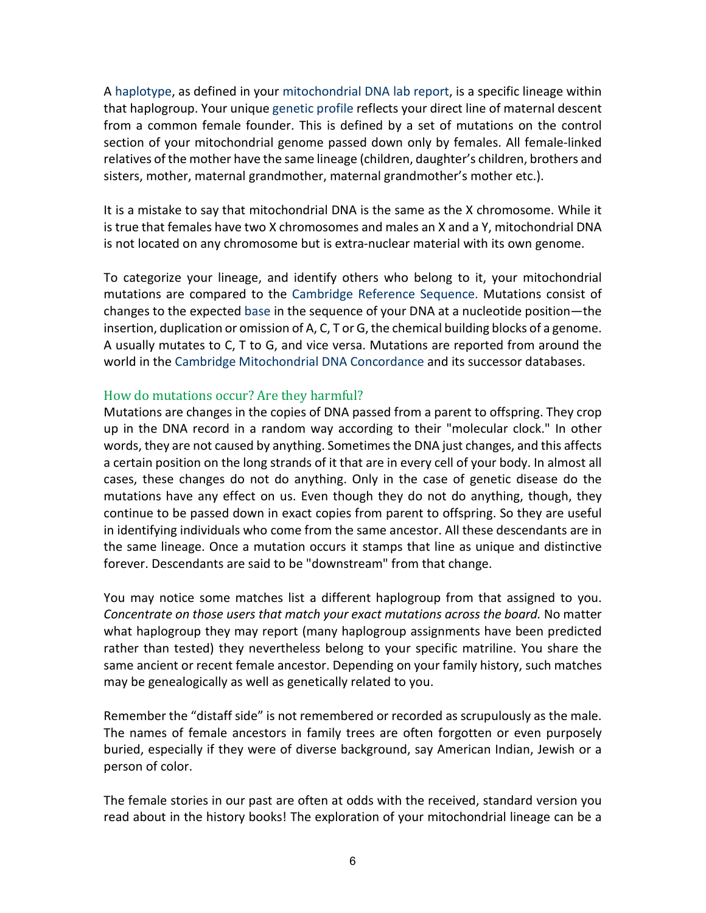A [haplotype,](http://dnaconsultants.com/dna-glossary) as defined in your [mitochondrial DNA lab report,](http://dnaconsultants.com/images/Sample_Mitochondrial_Lab_Report.pdf) is a specific lineage within that haplogroup. Your unique [genetic profile](http://dnaconsultants.com/dna-glossary) reflects your direct line of maternal descent from a common female founder. This is defined by a set of mutations on the control section of your mitochondrial genome passed down only by females. All female-linked relatives of the mother have the same lineage (children, daughter's children, brothers and sisters, mother, maternal grandmother, maternal grandmother's mother etc.).

It is a mistake to say that mitochondrial DNA is the same as the X chromosome. While it is true that females have two X chromosomes and males an X and a Y, mitochondrial DNA is not located on any chromosome but is extra-nuclear material with its own genome.

To categorize your lineage, and identify others who belong to it, your mitochondrial mutations are compared to the [Cambridge Reference Sequence.](http://dnaconsultants.com/dna-glossary) Mutations consist of changes to the expected [base](http://dnaconsultants.com/Detailed/212.html) in the sequence of your DNA at a nucleotide position—the insertion, duplication or omission of A, C, T or G, the chemical building blocks of a genome. A usually mutates to C, T to G, and vice versa. Mutations are reported from around the world in th[e Cambridge Mitochondrial DNA Concordance](http://www2.bioanth.cam.ac.uk/mtDNA/toc.html) and its successor databases.

#### How do mutations occur? Are they harmful?

Mutations are changes in the copies of DNA passed from a parent to offspring. They crop up in the DNA record in a random way according to their "molecular clock." In other words, they are not caused by anything. Sometimes the DNA just changes, and this affects a certain position on the long strands of it that are in every cell of your body. In almost all cases, these changes do not do anything. Only in the case of genetic disease do the mutations have any effect on us. Even though they do not do anything, though, they continue to be passed down in exact copies from parent to offspring. So they are useful in identifying individuals who come from the same ancestor. All these descendants are in the same lineage. Once a mutation occurs it stamps that line as unique and distinctive forever. Descendants are said to be "downstream" from that change.

You may notice some matches list a different haplogroup from that assigned to you. *Concentrate on those users that match your exact mutations across the board.* No matter what haplogroup they may report (many haplogroup assignments have been predicted rather than tested) they nevertheless belong to your specific matriline. You share the same ancient or recent female ancestor. Depending on your family history, such matches may be genealogically as well as genetically related to you.

Remember the "distaff side" is not remembered or recorded as scrupulously as the male. The names of female ancestors in family trees are often forgotten or even purposely buried, especially if they were of diverse background, say American Indian, Jewish or a person of color.

The female stories in our past are often at odds with the received, standard version you read about in the history books! The exploration of your mitochondrial lineage can be a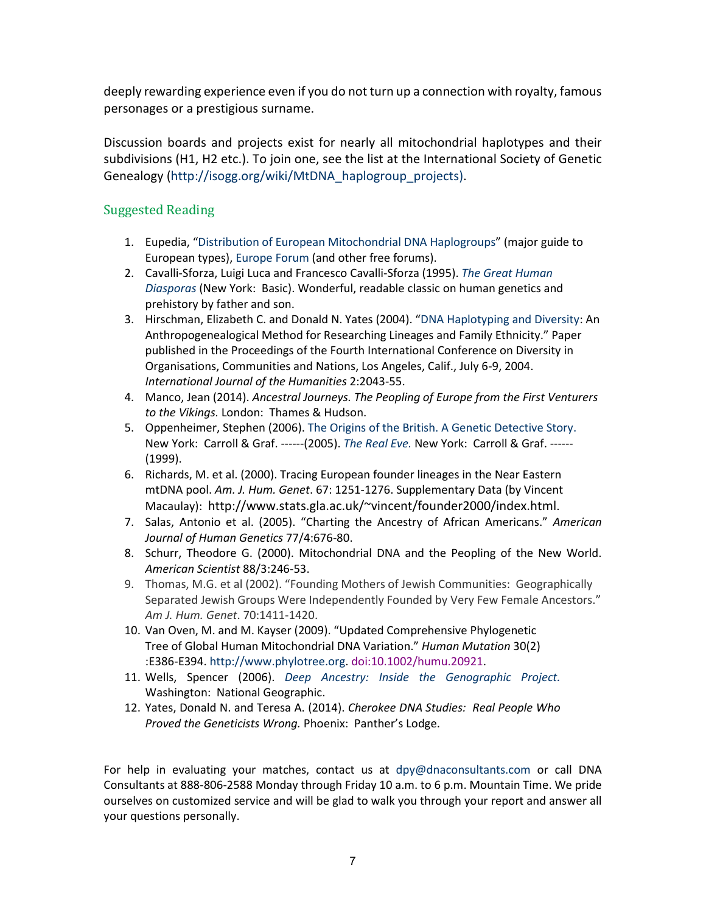deeply rewarding experience even if you do not turn up a connection with royalty, famous personages or a prestigious surname.

Discussion boards and projects exist for nearly all mitochondrial haplotypes and their subdivisions (H1, H2 etc.). To join one, see the list at the International Society of Genetic Genealogy [\(http://isogg.org/wiki/MtDNA\\_haplogroup\\_projects\).](http://isogg.org/wiki/MtDNA_haplogroup_projects))

### Suggested Reading

- 1. Eupedia, ["Distribution of European Mitochondrial DNA Haplogroups"](http://www.eupedia.com/europe/european_mtdna_haplogroups_frequency.shtml) (major guide to European types), [Europe Forum](http://www.eupedia.com/forum/) (and other free forums).
- 2. Cavalli-Sforza, Luigi Luca and Francesco Cavalli-Sforza (1995). *[The Great Human](http://books.google.com/books?id=ApuuiwUkEZ0C&printsec=frontcover&dq=the+great+human+diasporas&source=bl&ots=WoQ685sUgn&sig=8IlmW6wRGkHY1IChlQVvWtc57cA&hl=en&ei=Dn-ZTM3EOYOKlweXhqQq&sa=X&oi=book_result&ct=result&resnum=4&ved=0CCwQ6AEwAw#v=onepage&q&f=false) [Diasporas](http://books.google.com/books?id=ApuuiwUkEZ0C&printsec=frontcover&dq=the+great+human+diasporas&source=bl&ots=WoQ685sUgn&sig=8IlmW6wRGkHY1IChlQVvWtc57cA&hl=en&ei=Dn-ZTM3EOYOKlweXhqQq&sa=X&oi=book_result&ct=result&resnum=4&ved=0CCwQ6AEwAw#v=onepage&q&f=false)* (New York: Basic). Wonderful, readable classic on human genetics and prehistory by father and son.
- 3. Hirschman, Elizabeth C. and Donald N. Yates (2004). ["DNA Haplotyping and Diversity:](http://dnaconsultants.com/books-and-literature/dna-haplotyping-and-diversity) An Anthropogenealogical Method for Researching Lineages and Family Ethnicity." Paper published in the Proceedings of the Fourth International Conference on Diversity in Organisations, Communities and Nations, Los Angeles, Calif., July 6-9, 2004. *International Journal of the Humanities* 2:2043-55.
- 4. Manco, Jean (2014). *Ancestral Journeys. The Peopling of Europe from the First Venturers to the Vikings.* London: Thames & Hudson.
- 5. Oppenheimer, Stephen (2006). [The Origins of the British. A Genetic Detective Story.](https://www.amazon.com/Origins-British-Genetic-Detective-Story/dp/0786718900/ref=sr_1_1?s=books&ie=UTF8&qid=1479159134&sr=1-1&keywords=origins+British+Genetic+Detective) New York: Carroll & Graf. ------(2005). *[The Real Eve.](http://books.google.com/books?id=bX9E4xlY7YwC&dq=the+real+eve&printsec=frontcover&source=bn&hl=en&ei=iH-ZTLKLBcSblgfvjJl3&sa=X&oi=book_result&ct=result&resnum=6&ved=0CDsQ6AEwBQ#v=onepage&q&f=false)* New York: Carroll & Graf. ------ (1999).
- 6. Richards, M. et al. (2000). Tracing European founder lineages in the Near Eastern mtDNA pool. *Am. J. Hum. Genet*. 67: 1251-1276. Supplementary Data (by Vincent Macaulay): [http://www.stats.gla.ac.uk/~vincent/founder2000/index.html.](http://www.stats.gla.ac.uk/%7Evincent/founder2000/index.html)
- 7. Salas, Antonio et al. (2005). "Charting the Ancestry of African Americans." *American Journal of Human Genetics* 77/4:676-80.
- 8. Schurr, Theodore G. (2000). Mitochondrial DNA and the Peopling of the New World. *American Scientist* 88/3:246-53.
- 9. Thomas, M.G. et al (2002). "Founding Mothers of Jewish Communities: Geographically Separated Jewish Groups Were Independently Founded by Very Few Female Ancestors." *Am J. Hum. Genet*. 70:1411-1420.
- 10. Van Oven, M. and M. Kayser (2009). "Updated Comprehensive Phylogenetic Tree of Global Human Mitochondrial DNA Variation." *Human Mutation* 30(2) :E386-E394. [http://www.phylotree.org.](http://www.phylotree.org/) [doi:10.1002/humu.20921.](http://dx.doi.org/10.1002/humu.20921)
- 11. Wells, Spencer (2006). *[Deep Ancestry: Inside the Genographic Project.](http://books.google.com/books?id=TSl9AAAACAAJ&dq=deep+ancestry)* Washington: National Geographic.
- 12. Yates, Donald N. and Teresa A. (2014). *Cherokee DNA Studies: Real People Who Proved the Geneticists Wrong.* Phoenix: Panther's Lodge.

For help in evaluating your matches, contact us at [dpy@dnaconsultants.com](mailto:dpy@dnaconsultants.com) or call DNA Consultants at 888-806-2588 Monday through Friday 10 a.m. to 6 p.m. Mountain Time. We pride ourselves on customized service and will be glad to walk you through your report and answer all your questions personally.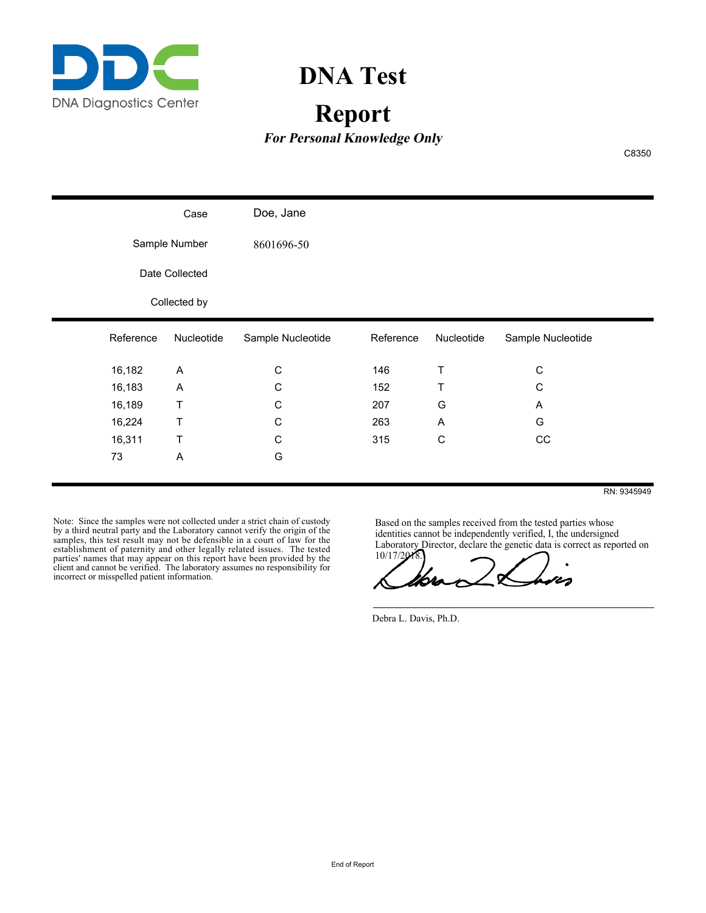

# **DNA Test**

# **Report**

**For Personal Knowledge Only**

C8350

|                |           | Case         | Doe, Jane         |           |            |                   |
|----------------|-----------|--------------|-------------------|-----------|------------|-------------------|
| Sample Number  |           | 8601696-50   |                   |           |            |                   |
| Date Collected |           |              |                   |           |            |                   |
|                |           | Collected by |                   |           |            |                   |
|                | Reference | Nucleotide   | Sample Nucleotide | Reference | Nucleotide | Sample Nucleotide |
|                | 16,182    | A            | С                 | 146       | Т          | $\mathbf C$       |
|                | 16,183    | A            | С                 | 152       | Τ          | $\mathsf C$       |
|                | 16,189    | Τ            | С                 | 207       | G          | A                 |
|                | 16,224    | Τ            | C                 | 263       | A          | G                 |
|                | 16,311    | Τ            | С                 | 315       | C          | CC                |
|                | 73        | A            | G                 |           |            |                   |
|                |           |              |                   |           |            |                   |

RN: 9345949

Note: Since the samples were not collected under a strict chain of custody by a third neutral party and the Laboratory cannot verify the origin of the samples, this test result may not be defensible in a court of law for the establishment of paternity and other legally related issues. The tested parties' names that may appear on this report have been provided by the client and cannot be verified. The laboratory assumes no responsibility for incorrect or misspelled patient information.

Based on the samples received from the tested parties whose identities cannot be independently verified, I, the undersigned Laboratory Director, declare the genetic data is correct as reported on

10/17/2018.

Debra L. Davis, Ph.D.